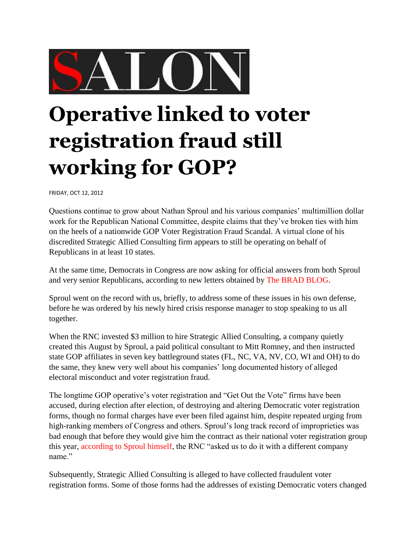

## **Operative linked to voter registration fraud still working for GOP?**

FRIDAY, OCT 12, 2012

Questions continue to grow about Nathan Sproul and his various companies' multimillion dollar work for the Republican National Committee, despite claims that they've broken ties with him on the heels of a nationwide GOP Voter Registration Fraud Scandal. A virtual clone of his discredited Strategic Allied Consulting firm appears to still be operating on behalf of Republicans in at least 10 states.

At the same time, Democrats in Congress are now asking for official answers from both Sproul and very senior Republicans, according to new letters obtained by [The BRAD BLOG.](http://www.bradblog.com/)

Sproul went on the record with us, briefly, to address some of these issues in his own defense, before he was ordered by his newly hired crisis response manager to stop speaking to us all together.

When the RNC invested \$3 million to hire Strategic Allied Consulting, a company quietly created this August by Sproul, a paid political consultant to Mitt Romney, and then instructed state GOP affiliates in seven key battleground states (FL, NC, VA, NV, CO, WI and OH) to do the same, they knew very well about his companies' long documented history of alleged electoral misconduct and voter registration fraud.

The longtime GOP operative's voter registration and "Get Out the Vote" firms have been accused, during election after election, of destroying and altering Democratic voter registration forms, though no formal charges have ever been filed against him, despite repeated urging from high-ranking members of Congress and others. Sproul's long track record of improprieties was bad enough that before they would give him the contract as their national voter registration group this year, [according to Sproul himself,](http://www.latimes.com/news/nationworld/nation/la-na-voter-fraud-allegations-20120928,0,4284007.story) the RNC "asked us to do it with a different company name."

Subsequently, Strategic Allied Consulting is alleged to have collected fraudulent voter registration forms. Some of those forms had the addresses of existing Democratic voters changed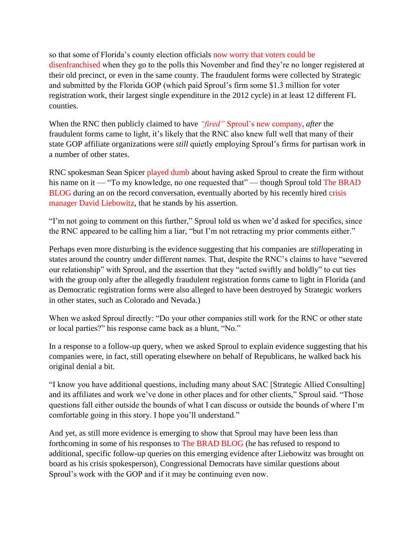so that some of Florida's county election officials [now worry that voters could be](http://www.bradblog.com/?p=9590)  [disenfranchised](http://www.bradblog.com/?p=9590) when they go to the polls this November and find they're no longer registered at their old precinct, or even in the same county. The fraudulent forms were collected by Strategic and submitted by the Florida GOP (which paid Sproul's firm some \$1.3 million for voter registration work, their largest single expenditure in the 2012 cycle) in at least 12 different FL counties.

When the RNC then publicly claimed to have *"fired"* [Sproul's new company,](http://www.bradblog.com/?p=9592) *after* the fraudulent forms came to light, it's likely that the RNC also knew full well that many of their state GOP affiliate organizations were *still* quietly employing Sproul's firms for partisan work in a number of other states.

RNC spokesman Sean Spicer [played dumb](http://www.latimes.com/news/nationworld/nation/la-na-voter-registration-20120929,0,2318037,full.story) about having asked Sproul to create the firm without his name on it — "To my knowledge, no one requested that" — though Sproul told The BRAD [BLOG](http://www.bradblog.com/) during an on the record conversation, eventually aborted by his recently hired [crisis](http://leibowitzsolo.com/why-choose-leibowitz-solo)  [manager David Liebowitz,](http://leibowitzsolo.com/why-choose-leibowitz-solo) that he stands by his assertion.

"I'm not going to comment on this further," Sproul told us when we'd asked for specifics, since the RNC appeared to be calling him a liar, "but I'm not retracting my prior comments either."

Perhaps even more disturbing is the evidence suggesting that his companies are *still*operating in states around the country under different names. That, despite the RNC's claims to have "severed our relationship" with Sproul, and the assertion that they "acted swiftly and boldly" to cut ties with the group only after the allegedly fraudulent registration forms came to light in Florida (and as Democratic registration forms were also alleged to have been destroyed by Strategic workers in other states, such as Colorado and Nevada.)

When we asked Sproul directly: "Do your other companies still work for the RNC or other state or local parties?" his response came back as a blunt, "No."

In a response to a follow-up query, when we asked Sproul to explain evidence suggesting that his companies were, in fact, still operating elsewhere on behalf of Republicans, he walked back his original denial a bit.

"I know you have additional questions, including many about SAC [Strategic Allied Consulting] and its affiliates and work we've done in other places and for other clients," Sproul said. "Those questions fall either outside the bounds of what I can discuss or outside the bounds of where I'm comfortable going in this story. I hope you'll understand."

And yet, as still more evidence is emerging to show that Sproul may have been less than forthcoming in some of his responses to [The BRAD BLOG](http://www.bradblog.com/) (he has refused to respond to additional, specific follow-up queries on this emerging evidence after Liebowitz was brought on board as his crisis spokesperson), Congressional Democrats have similar questions about Sproul's work with the GOP and if it may be continuing even now.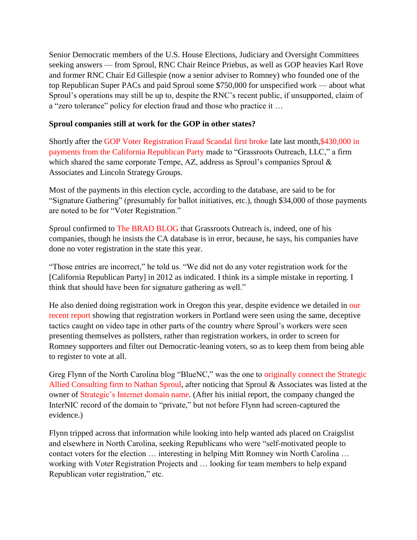Senior Democratic members of the U.S. House Elections, Judiciary and Oversight Committees seeking answers — from Sproul, RNC Chair Reince Priebus, as well as GOP heavies Karl Rove and former RNC Chair Ed Gillespie (now a senior adviser to Romney) who founded one of the top Republican Super PACs and paid Sproul some \$750,000 for unspecified work — about what Sproul's operations may still be up to, despite the RNC's recent public, if unsupported, claim of a "zero tolerance" policy for election fraud and those who practice it …

## **Sproul companies still at work for the GOP in other states?**

Shortly after the [GOP Voter Registration Fraud Scandal first broke](http://www.bradblog.com/?p=9586) late last month<a href='http://www.thenation.com/blog/170198/gop-quietly-hires-firm-tied-voter-fraud-scandal-work-battleground-states%3ELee%20Fang%20at%20The%20Nation%20detailed%3C/a%3E%20records%20at%20the%20CA%20Sec.%20of%20State's%20database%20disclosing%20some%20%3Ca%20href='>,\$430,000 in <a href='http://www.thenation.com/blog/170198/gop-quietly-hires-firm-tied-voter-fraud-scandal-work-battleground-states%3ELee%20Fang%20at%20The%20Nation%20detailed%3C/a%3E%20records%20at%20the%20CA%20Sec.%20of%20State's%20database%20disclosing%20some%20%3Ca%20href='>payments from the California Republican Party made to "Grassroots Outreach, LLC," a firm which shared the same corporate Tempe, AZ, address as Sproul's companies Sproul  $\&$ Associates and Lincoln Strategy Groups.

Most of the payments in this election cycle, according to the database, are said to be for "Signature Gathering" (presumably for ballot initiatives, etc.), though \$34,000 of those payments are noted to be for "Voter Registration."

Sproul confirmed to [The BRAD BLOG](http://www.bradblog.com/) that Grassroots Outreach is, indeed, one of his companies, though he insists the CA database is in error, because, he says, his companies have done no voter registration in the state this year.

"Those entries are incorrect," he told us. "We did not do any voter registration work for the [California Republican Party] in 2012 as indicated. I think its a simple mistake in reporting. I think that should have been for signature gathering as well."

He also denied doing registration work in Oregon this year, despite evidence we detailed in [our](http://www.bradblog.com/?p=9600)  [recent report](http://www.bradblog.com/?p=9600) showing that registration workers in Portland were seen using the same, deceptive tactics caught on video tape in other parts of the country where Sproul's workers were seen presenting themselves as pollsters, rather than registration workers, in order to screen for Romney supporters and filter out Democratic-leaning voters, so as to keep them from being able to register to vote at all.

Greg Flynn of the North Carolina blog "BlueNC," was the one to [originally connect the Strategic](http://www.bluenc.com/republican-paid-voter-registration-operation-linked-fraud)  [Allied Consulting firm to Nathan Sproul,](http://www.bluenc.com/republican-paid-voter-registration-operation-linked-fraud) after noticing that Sproul & Associates was listed at the owner of [Strategic's Internet domain name.](http://strategicalliedconsulting/) (After his initial report, the company changed the InterNIC record of the domain to "private," but not before Flynn had screen-captured the evidence.)

Flynn tripped across that information while looking into help wanted ads placed on Craigslist and elsewhere in North Carolina, seeking Republicans who were "self-motivated people to contact voters for the election … interesting in helping Mitt Romney win North Carolina … working with Voter Registration Projects and … looking for team members to help expand Republican voter registration," etc.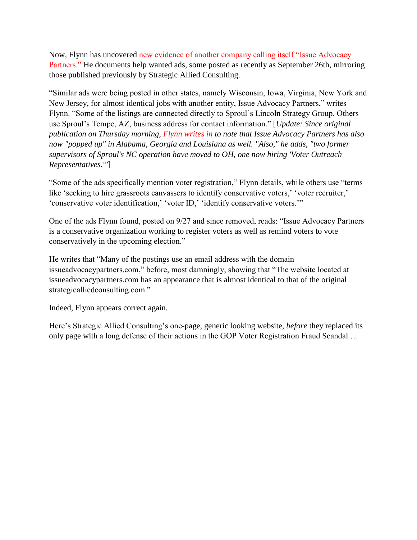Now, Flynn has uncovered [new evidence of another company calling itself "Issue Advocacy](http://bluenc.com/strategic-allied-consulting-morphs-issue-advocacy-partners)  [Partners."](http://bluenc.com/strategic-allied-consulting-morphs-issue-advocacy-partners) He documents help wanted ads, some posted as recently as September 26th, mirroring those published previously by Strategic Allied Consulting.

"Similar ads were being posted in other states, namely Wisconsin, Iowa, Virginia, New York and New Jersey, for almost identical jobs with another entity, Issue Advocacy Partners," writes Flynn. "Some of the listings are connected directly to Sproul's Lincoln Strategy Group. Others use Sproul's Tempe, AZ, business address for contact information." [*Update: Since original publication on Thursday morning, [Flynn writes in](http://www.bradblog.com/?p=9627#comment-479649) to note that Issue Advocacy Partners has also now "popped up" in Alabama, Georgia and Louisiana as well. "Also," he adds, "two former supervisors of Sproul's NC operation have moved to OH, one now hiring 'Voter Outreach Representatives.'"*]

"Some of the ads specifically mention voter registration," Flynn details, while others use "terms like 'seeking to hire grassroots canvassers to identify conservative voters,' 'voter recruiter,' 'conservative voter identification,' 'voter ID,' 'identify conservative voters.'"

One of the ads Flynn found, posted on 9/27 and since removed, reads: "Issue Advocacy Partners is a conservative organization working to register voters as well as remind voters to vote conservatively in the upcoming election."

He writes that "Many of the postings use an email address with the domain issueadvocacypartners.com," before, most damningly, showing that "The website located at issueadvocacypartners.com has an appearance that is almost identical to that of the original strategicalliedconsulting.com."

Indeed, Flynn appears correct again.

Here's Strategic Allied Consulting's one-page, generic looking website, *before* they replaced its only page with a long defense of their actions in the GOP Voter Registration Fraud Scandal …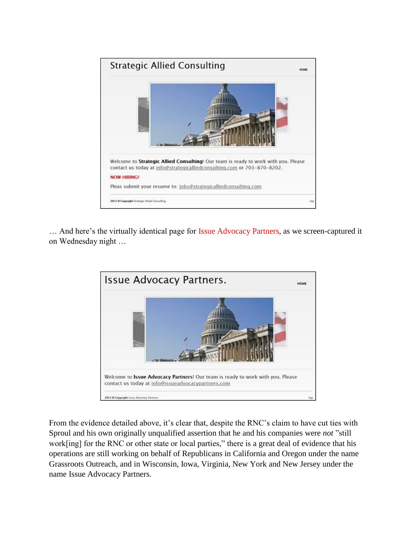

... And here's the virtually identical page for [Issue Advocacy Partners,](http://issueadvocacypartners.com/) as we screen-captured it on Wednesday night …



From the evidence detailed above, it's clear that, despite the RNC's claim to have cut ties with Sproul and his own originally unqualified assertion that he and his companies were *not* "still work[ing] for the RNC or other state or local parties," there is a great deal of evidence that his operations are still working on behalf of Republicans in California and Oregon under the name Grassroots Outreach, and in Wisconsin, Iowa, Virginia, New York and New Jersey under the name Issue Advocacy Partners.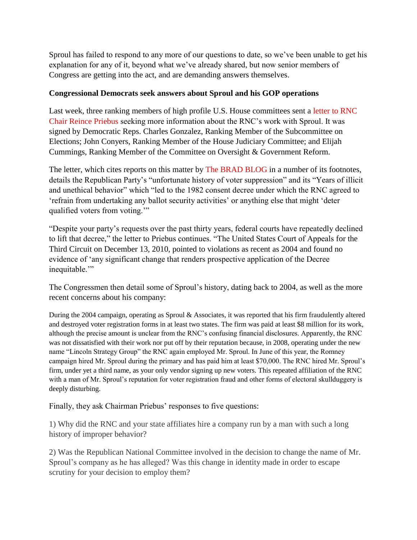Sproul has failed to respond to any more of our questions to date, so we've been unable to get his explanation for any of it, beyond what we've already shared, but now senior members of Congress are getting into the act, and are demanding answers themselves.

## **Congressional Democrats seek answers about Sproul and his GOP operations**

Last week, three ranking members of high profile U.S. House committees sent a [letter to RNC](http://democrats.cha.house.gov/press-release/ranking-democrats-call-answers-republican-chairman-amid-allegations-voter-registration)  [Chair Reince Priebus](http://democrats.cha.house.gov/press-release/ranking-democrats-call-answers-republican-chairman-amid-allegations-voter-registration) seeking more information about the RNC's work with Sproul. It was signed by Democratic Reps. Charles Gonzalez, Ranking Member of the Subcommittee on Elections; John Conyers, Ranking Member of the House Judiciary Committee; and Elijah Cummings, Ranking Member of the Committee on Oversight & Government Reform.

The letter, which cites reports on this matter by [The BRAD BLOG](http://www.bradblog.com/) in a number of its footnotes, details the Republican Party's "unfortunate history of voter suppression" and its "Years of illicit and unethical behavior" which "led to the 1982 consent decree under which the RNC agreed to 'refrain from undertaking any ballot security activities' or anything else that might 'deter qualified voters from voting.'"

"Despite your party's requests over the past thirty years, federal courts have repeatedly declined to lift that decree," the letter to Priebus continues. "The United States Court of Appeals for the Third Circuit on December 13, 2010, pointed to violations as recent as 2004 and found no evidence of 'any significant change that renders prospective application of the Decree inequitable.'"

The Congressmen then detail some of Sproul's history, dating back to 2004, as well as the more recent concerns about his company:

During the 2004 campaign, operating as Sproul & Associates, it was reported that his firm fraudulently altered and destroyed voter registration forms in at least two states. The firm was paid at least \$8 million for its work, although the precise amount is unclear from the RNC's confusing financial disclosures. Apparently, the RNC was not dissatisfied with their work nor put off by their reputation because, in 2008, operating under the new name "Lincoln Strategy Group" the RNC again employed Mr. Sproul. In June of this year, the Romney campaign hired Mr. Sproul during the primary and has paid him at least \$70,000. The RNC hired Mr. Sproul's firm, under yet a third name, as your only vendor signing up new voters. This repeated affiliation of the RNC with a man of Mr. Sproul's reputation for voter registration fraud and other forms of electoral skullduggery is deeply disturbing.

Finally, they ask Chairman Priebus' responses to five questions:

1) Why did the RNC and your state affiliates hire a company run by a man with such a long history of improper behavior?

2) Was the Republican National Committee involved in the decision to change the name of Mr. Sproul's company as he has alleged? Was this change in identity made in order to escape scrutiny for your decision to employ them?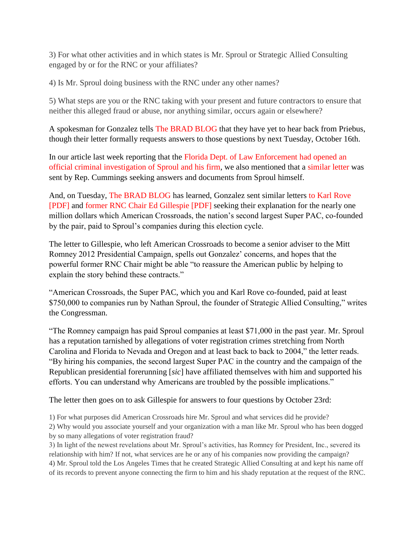3) For what other activities and in which states is Mr. Sproul or Strategic Allied Consulting engaged by or for the RNC or your affiliates?

4) Is Mr. Sproul doing business with the RNC under any other names?

5) What steps are you or the RNC taking with your present and future contractors to ensure that neither this alleged fraud or abuse, nor anything similar, occurs again or elsewhere?

A spokesman for Gonzalez tells [The BRAD BLOG](http://www.bradblog.com/) that they have yet to hear back from Priebus, though their letter formally requests answers to those questions by next Tuesday, October 16th.

In our article last week reporting that the [Florida Dept. of Law Enforcement had opened an](http://www.bradblog.com/?p=9609)  [official criminal investigation of Sproul and his firm,](http://www.bradblog.com/?p=9609) we also mentioned that a [similar letter](http://wallstreetonparade.com/2012/10/nathan-sproul-firm-probed-for-voter-registration-fraud-hires-criminal-defense-lawyer/) was sent by Rep. Cummings seeking answers and documents from Sproul himself.

And, on Tuesday, [The BRAD BLOG](http://www.bradblog.com/) has learned, Gonzalez sent similar letters [to Karl Rove](http://bradblog.com/Docs/GonzalezLetter_Sproul_KarlRove_100912.pdf)  [\[PDF\]](http://bradblog.com/Docs/GonzalezLetter_Sproul_KarlRove_100912.pdf) and [former RNC Chair Ed Gillespie \[PDF\]](http://bradblog.com/Docs/GonzalezLetter_Sproul_EdGillespie_100912.pdf) seeking their explanation for the nearly one million dollars which American Crossroads, the nation's second largest Super PAC, co-founded by the pair, paid to Sproul's companies during this election cycle.

The letter to Gillespie, who left American Crossroads to become a senior adviser to the Mitt Romney 2012 Presidential Campaign, spells out Gonzalez' concerns, and hopes that the powerful former RNC Chair might be able "to reassure the American public by helping to explain the story behind these contracts."

"American Crossroads, the Super PAC, which you and Karl Rove co-founded, paid at least \$750,000 to companies run by Nathan Sproul, the founder of Strategic Allied Consulting," writes the Congressman.

"The Romney campaign has paid Sproul companies at least \$71,000 in the past year. Mr. Sproul has a reputation tarnished by allegations of voter registration crimes stretching from North Carolina and Florida to Nevada and Oregon and at least back to back to 2004," the letter reads. "By hiring his companies, the second largest Super PAC in the country and the campaign of the Republican presidential forerunning [*sic*] have affiliated themselves with him and supported his efforts. You can understand why Americans are troubled by the possible implications."

The letter then goes on to ask Gillespie for answers to four questions by October 23rd:

1) For what purposes did American Crossroads hire Mr. Sproul and what services did he provide?

2) Why would you associate yourself and your organization with a man like Mr. Sproul who has been dogged by so many allegations of voter registration fraud?

3) In light of the newest revelations about Mr. Sproul's activities, has Romney for President, Inc., severed its relationship with him? If not, what services are he or any of his companies now providing the campaign? 4) Mr. Sproul told the Los Angeles Times that he created Strategic Allied Consulting at and kept his name off of its records to prevent anyone connecting the firm to him and his shady reputation at the request of the RNC.